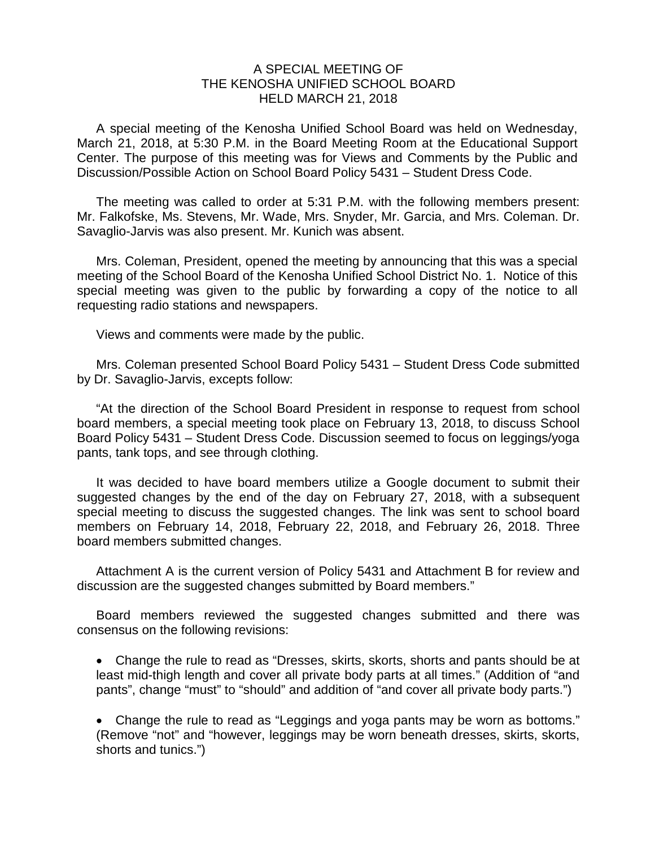## A SPECIAL MEETING OF THE KENOSHA UNIFIED SCHOOL BOARD HELD MARCH 21, 2018

A special meeting of the Kenosha Unified School Board was held on Wednesday, March 21, 2018, at 5:30 P.M. in the Board Meeting Room at the Educational Support Center. The purpose of this meeting was for Views and Comments by the Public and Discussion/Possible Action on School Board Policy 5431 – Student Dress Code.

The meeting was called to order at 5:31 P.M. with the following members present: Mr. Falkofske, Ms. Stevens, Mr. Wade, Mrs. Snyder, Mr. Garcia, and Mrs. Coleman. Dr. Savaglio-Jarvis was also present. Mr. Kunich was absent.

Mrs. Coleman, President, opened the meeting by announcing that this was a special meeting of the School Board of the Kenosha Unified School District No. 1. Notice of this special meeting was given to the public by forwarding a copy of the notice to all requesting radio stations and newspapers.

Views and comments were made by the public.

Mrs. Coleman presented School Board Policy 5431 – Student Dress Code submitted by Dr. Savaglio-Jarvis, excepts follow:

"At the direction of the School Board President in response to request from school board members, a special meeting took place on February 13, 2018, to discuss School Board Policy 5431 – Student Dress Code. Discussion seemed to focus on leggings/yoga pants, tank tops, and see through clothing.

It was decided to have board members utilize a Google document to submit their suggested changes by the end of the day on February 27, 2018, with a subsequent special meeting to discuss the suggested changes. The link was sent to school board members on February 14, 2018, February 22, 2018, and February 26, 2018. Three board members submitted changes.

Attachment A is the current version of Policy 5431 and Attachment B for review and discussion are the suggested changes submitted by Board members."

Board members reviewed the suggested changes submitted and there was consensus on the following revisions:

• Change the rule to read as "Dresses, skirts, skorts, shorts and pants should be at least mid-thigh length and cover all private body parts at all times." (Addition of "and pants", change "must" to "should" and addition of "and cover all private body parts.")

• Change the rule to read as "Leggings and yoga pants may be worn as bottoms." (Remove "not" and "however, leggings may be worn beneath dresses, skirts, skorts, shorts and tunics.")